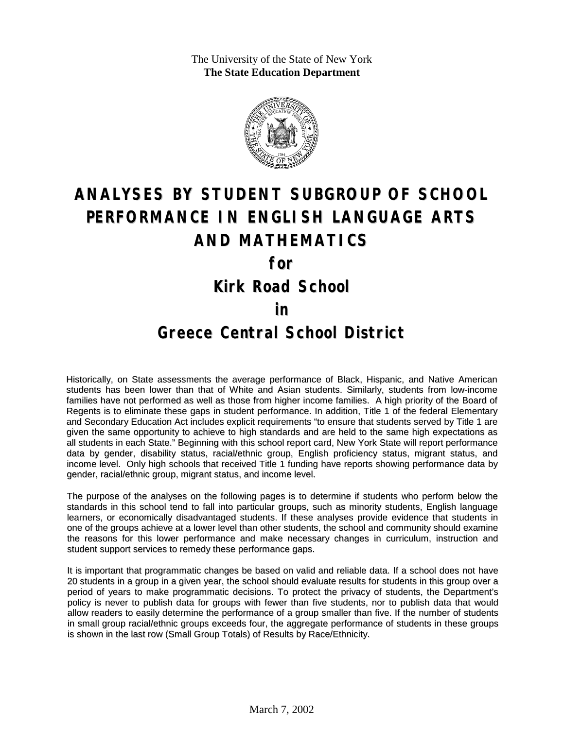The University of the State of New York **The State Education Department**



# **ANALYSES BY STUDENT SUBGROUP OF SCHOOL PERFORMANCE IN ENGLISH LANGUAGE ARTS AND MATHEMATICS**

**for**

**Kirk Road School**

#### **in**

### **Greece Central School District**

Historically, on State assessments the average performance of Black, Hispanic, and Native American students has been lower than that of White and Asian students. Similarly, students from low-income families have not performed as well as those from higher income families. A high priority of the Board of Regents is to eliminate these gaps in student performance. In addition, Title 1 of the federal Elementary and Secondary Education Act includes explicit requirements "to ensure that students served by Title 1 are given the same opportunity to achieve to high standards and are held to the same high expectations as all students in each State." Beginning with this school report card, New York State will report performance data by gender, disability status, racial/ethnic group, English proficiency status, migrant status, and income level. Only high schools that received Title 1 funding have reports showing performance data by gender, racial/ethnic group, migrant status, and income level.

The purpose of the analyses on the following pages is to determine if students who perform below the standards in this school tend to fall into particular groups, such as minority students, English language learners, or economically disadvantaged students. If these analyses provide evidence that students in one of the groups achieve at a lower level than other students, the school and community should examine the reasons for this lower performance and make necessary changes in curriculum, instruction and student support services to remedy these performance gaps.

It is important that programmatic changes be based on valid and reliable data. If a school does not have 20 students in a group in a given year, the school should evaluate results for students in this group over a period of years to make programmatic decisions. To protect the privacy of students, the Department's policy is never to publish data for groups with fewer than five students, nor to publish data that would allow readers to easily determine the performance of a group smaller than five. If the number of students in small group racial/ethnic groups exceeds four, the aggregate performance of students in these groups is shown in the last row (Small Group Totals) of Results by Race/Ethnicity.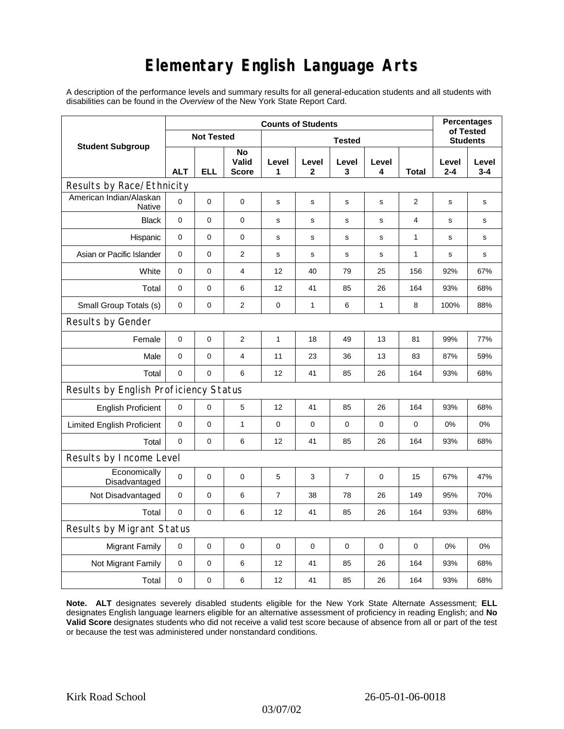## **Elementary English Language Arts**

A description of the performance levels and summary results for all general-education students and all students with disabilities can be found in the *Overview* of the New York State Report Card.

|                                          | <b>Counts of Students</b> |            |                      |                |              |                |             |                | <b>Percentages</b><br>of Tested |                  |
|------------------------------------------|---------------------------|------------|----------------------|----------------|--------------|----------------|-------------|----------------|---------------------------------|------------------|
| <b>Student Subgroup</b>                  | <b>Not Tested</b>         |            |                      | <b>Tested</b>  |              |                |             |                | <b>Students</b>                 |                  |
|                                          | <b>ALT</b>                | <b>ELL</b> | No<br>Valid<br>Score | Level<br>1     | Level<br>2   | Level<br>3     | Level<br>4  | Total          | Level<br>$2 - 4$                | Level<br>$3 - 4$ |
| Results by Race/Ethnicity                |                           |            |                      |                |              |                |             |                |                                 |                  |
| American Indian/Alaskan<br><b>Native</b> | 0                         | 0          | 0                    | $\mathbf s$    | s            | s              | $\mathbf s$ | $\overline{2}$ | s                               | s                |
| <b>Black</b>                             | 0                         | $\pmb{0}$  | $\mathbf 0$          | s              | $\mathbf s$  | $\mathbf s$    | $\mathbf s$ | $\overline{4}$ | $\mathbf s$                     | $\mathbf s$      |
| Hispanic                                 | 0                         | 0          | 0                    | $\mathbf s$    | $\mathsf{s}$ | $\mathbf s$    | s           | 1              | $\mathbf s$                     | s                |
| Asian or Pacific Islander                | 0                         | 0          | $\mathbf{2}$         | $\mathbf s$    | s            | s              | s           | 1              | s                               | s                |
| White                                    | $\mathbf 0$               | 0          | $\overline{4}$       | 12             | 40           | 79             | 25          | 156            | 92%                             | 67%              |
| Total                                    | 0                         | 0          | 6                    | 12             | 41           | 85             | 26          | 164            | 93%                             | 68%              |
| Small Group Totals (s)                   | 0                         | 0          | 2                    | 0              | $\mathbf{1}$ | 6              | 1           | 8              | 100%                            | 88%              |
| Results by Gender                        |                           |            |                      |                |              |                |             |                |                                 |                  |
| Female                                   | $\pmb{0}$                 | 0          | $\overline{2}$       | $\mathbf{1}$   | 18           | 49             | 13          | 81             | 99%                             | 77%              |
| Male                                     | 0                         | 0          | $\overline{4}$       | 11             | 23           | 36             | 13          | 83             | 87%                             | 59%              |
| Total                                    | 0                         | 0          | 6                    | 12             | 41           | 85             | 26          | 164            | 93%                             | 68%              |
| Results by English Proficiency Status    |                           |            |                      |                |              |                |             |                |                                 |                  |
| <b>English Proficient</b>                | 0                         | 0          | 5                    | 12             | 41           | 85             | 26          | 164            | 93%                             | 68%              |
| <b>Limited English Proficient</b>        | 0                         | 0          | $\mathbf{1}$         | $\pmb{0}$      | $\mathbf 0$  | 0              | 0           | 0              | 0%                              | 0%               |
| Total                                    | 0                         | 0          | 6                    | 12             | 41           | 85             | 26          | 164            | 93%                             | 68%              |
| Results by Income Level                  |                           |            |                      |                |              |                |             |                |                                 |                  |
| Economically<br>Disadvantaged            | 0                         | 0          | $\mathbf 0$          | 5              | 3            | $\overline{7}$ | $\pmb{0}$   | 15             | 67%                             | 47%              |
| Not Disadvantaged                        | $\mathbf 0$               | 0          | 6                    | $\overline{7}$ | 38           | 78             | 26          | 149            | 95%                             | 70%              |
| Total                                    | $\mathbf 0$               | 0          | 6                    | 12             | 41           | 85             | 26          | 164            | 93%                             | 68%              |
| Results by Migrant Status                |                           |            |                      |                |              |                |             |                |                                 |                  |
| <b>Migrant Family</b>                    | 0                         | 0          | 0                    | $\mathbf 0$    | 0            | 0              | $\mathbf 0$ | 0              | 0%                              | 0%               |
| Not Migrant Family                       | 0                         | 0          | 6                    | 12             | 41           | 85             | 26          | 164            | 93%                             | 68%              |
| Total                                    | 0                         | 0          | 6                    | 12             | 41           | 85             | 26          | 164            | 93%                             | 68%              |

**Note. ALT** designates severely disabled students eligible for the New York State Alternate Assessment; **ELL** designates English language learners eligible for an alternative assessment of proficiency in reading English; and **No Valid Score** designates students who did not receive a valid test score because of absence from all or part of the test or because the test was administered under nonstandard conditions.